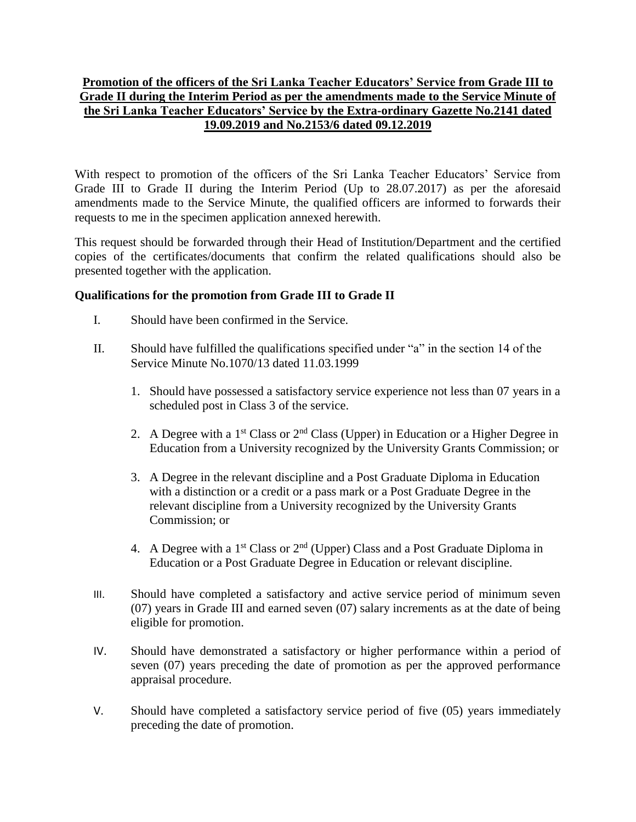## **Promotion of the officers of the Sri Lanka Teacher Educators' Service from Grade III to Grade II during the Interim Period as per the amendments made to the Service Minute of the Sri Lanka Teacher Educators' Service by the Extra-ordinary Gazette No.2141 dated 19.09.2019 and No.2153/6 dated 09.12.2019**

With respect to promotion of the officers of the Sri Lanka Teacher Educators' Service from Grade III to Grade II during the Interim Period (Up to 28.07.2017) as per the aforesaid amendments made to the Service Minute, the qualified officers are informed to forwards their requests to me in the specimen application annexed herewith.

This request should be forwarded through their Head of Institution/Department and the certified copies of the certificates/documents that confirm the related qualifications should also be presented together with the application.

## **Qualifications for the promotion from Grade III to Grade II**

- I. Should have been confirmed in the Service.
- II. Should have fulfilled the qualifications specified under "a" in the section 14 of the Service Minute No.1070/13 dated 11.03.1999
	- 1. Should have possessed a satisfactory service experience not less than 07 years in a scheduled post in Class 3 of the service.
	- 2. A Degree with a 1<sup>st</sup> Class or  $2<sup>nd</sup>$  Class (Upper) in Education or a Higher Degree in Education from a University recognized by the University Grants Commission; or
	- 3. A Degree in the relevant discipline and a Post Graduate Diploma in Education with a distinction or a credit or a pass mark or a Post Graduate Degree in the relevant discipline from a University recognized by the University Grants Commission; or
	- 4. A Degree with a  $1<sup>st</sup> Class or 2<sup>nd</sup> (Upper) Class and a Post Graduate Diploma in$ Education or a Post Graduate Degree in Education or relevant discipline.
- III. Should have completed a satisfactory and active service period of minimum seven (07) years in Grade III and earned seven (07) salary increments as at the date of being eligible for promotion.
- IV. Should have demonstrated a satisfactory or higher performance within a period of seven (07) years preceding the date of promotion as per the approved performance appraisal procedure.
- V. Should have completed a satisfactory service period of five (05) years immediately preceding the date of promotion.